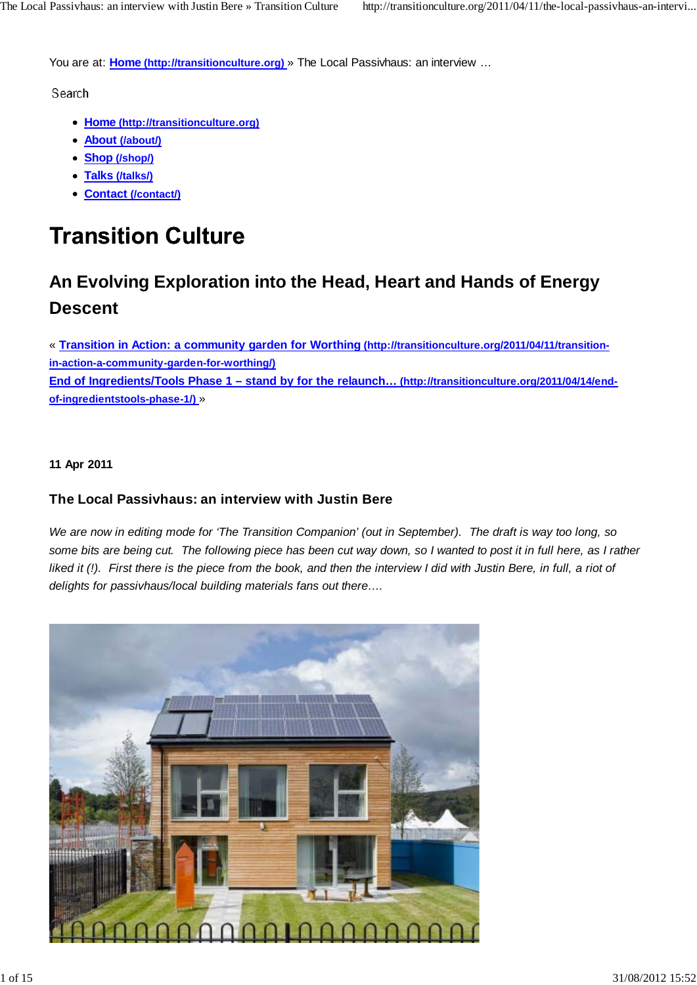You are at: **Home (http://transitionculture.org)** » The Local Passivhaus: an interview …

Search

- **Home (http://transitionculture.org)**
- **About (/about/)**
- **Shop (/shop/)**
- **Talks (/talks/)**
- **Contact (/contact/)**

# **Transition Culture**

## **An Evolving Exploration into the Head, Heart and Hands of Energy Descent**

« **Transition in Action: a community garden for Worthing (http://transitionculture.org/2011/04/11/transitionin-action-a-community-garden-for-worthing/) End of Ingredients/Tools Phase 1 – stand by for the relaunch… (http://transitionculture.org/2011/04/14/endof-ingredientstools-phase-1/)** »

#### **11 Apr 2011**

## **The Local Passivhaus: an interview with Justin Bere**

*We are now in editing mode for 'The Transition Companion' (out in September). The draft is way too long, so some bits are being cut. The following piece has been cut way down, so I wanted to post it in full here, as I rather liked it (!). First there is the piece from the book, and then the interview I did with Justin Bere, in full, a riot of delights for passivhaus/local building materials fans out there….*

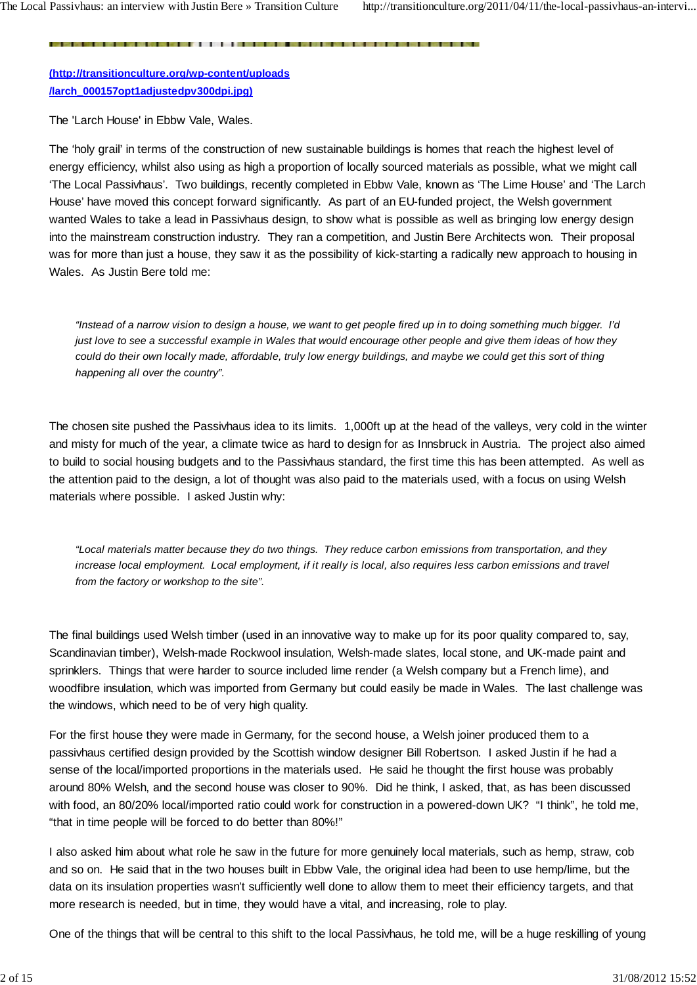**(http://transitionculture.org/wp-content/uploads /larch\_000157opt1adjustedpv300dpi.jpg)**

The 'Larch House' in Ebbw Vale, Wales.

The 'holy grail' in terms of the construction of new sustainable buildings is homes that reach the highest level of energy efficiency, whilst also using as high a proportion of locally sourced materials as possible, what we might call 'The Local Passivhaus'. Two buildings, recently completed in Ebbw Vale, known as 'The Lime House' and 'The Larch House' have moved this concept forward significantly. As part of an EU-funded project, the Welsh government wanted Wales to take a lead in Passivhaus design, to show what is possible as well as bringing low energy design into the mainstream construction industry. They ran a competition, and Justin Bere Architects won. Their proposal was for more than just a house, they saw it as the possibility of kick-starting a radically new approach to housing in Wales. As Justin Bere told me:

*"Instead of a narrow vision to design a house, we want to get people fired up in to doing something much bigger. I'd just love to see a successful example in Wales that would encourage other people and give them ideas of how they could do their own locally made, affordable, truly low energy buildings, and maybe we could get this sort of thing happening all over the country".*

The chosen site pushed the Passivhaus idea to its limits. 1,000ft up at the head of the valleys, very cold in the winter and misty for much of the year, a climate twice as hard to design for as Innsbruck in Austria. The project also aimed to build to social housing budgets and to the Passivhaus standard, the first time this has been attempted. As well as the attention paid to the design, a lot of thought was also paid to the materials used, with a focus on using Welsh materials where possible. I asked Justin why:

*"Local materials matter because they do two things. They reduce carbon emissions from transportation, and they increase local employment. Local employment, if it really is local, also requires less carbon emissions and travel from the factory or workshop to the site".*

The final buildings used Welsh timber (used in an innovative way to make up for its poor quality compared to, say, Scandinavian timber), Welsh-made Rockwool insulation, Welsh-made slates, local stone, and UK-made paint and sprinklers. Things that were harder to source included lime render (a Welsh company but a French lime), and woodfibre insulation, which was imported from Germany but could easily be made in Wales. The last challenge was the windows, which need to be of very high quality.

For the first house they were made in Germany, for the second house, a Welsh joiner produced them to a passivhaus certified design provided by the Scottish window designer Bill Robertson. I asked Justin if he had a sense of the local/imported proportions in the materials used. He said he thought the first house was probably around 80% Welsh, and the second house was closer to 90%. Did he think, I asked, that, as has been discussed with food, an 80/20% local/imported ratio could work for construction in a powered-down UK? "I think", he told me, "that in time people will be forced to do better than 80%!"

I also asked him about what role he saw in the future for more genuinely local materials, such as hemp, straw, cob and so on. He said that in the two houses built in Ebbw Vale, the original idea had been to use hemp/lime, but the data on its insulation properties wasn't sufficiently well done to allow them to meet their efficiency targets, and that more research is needed, but in time, they would have a vital, and increasing, role to play.

One of the things that will be central to this shift to the local Passivhaus, he told me, will be a huge reskilling of young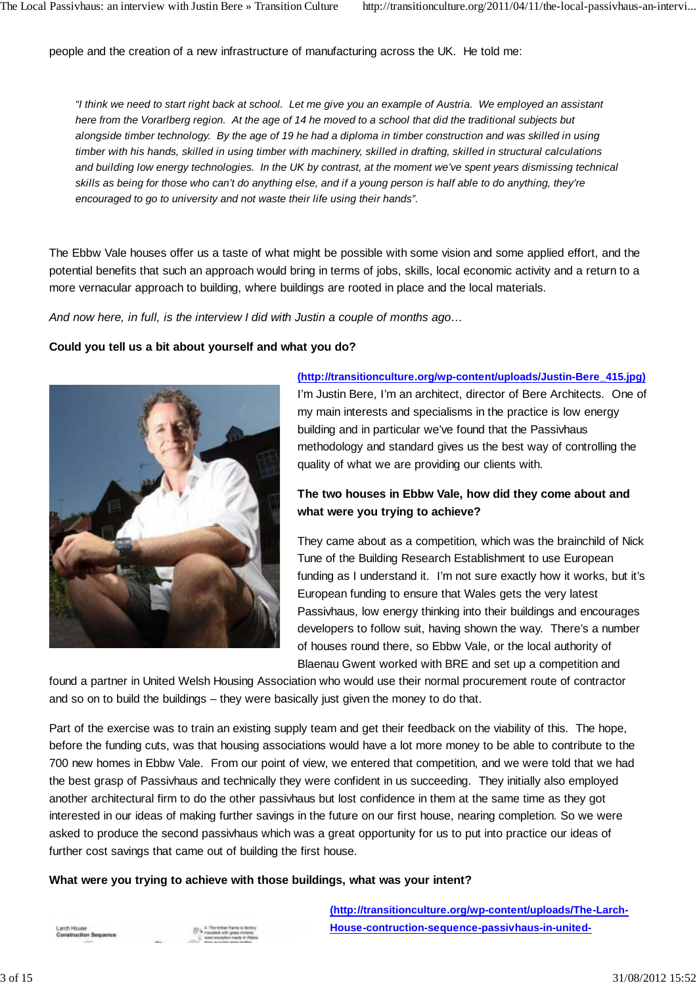people and the creation of a new infrastructure of manufacturing across the UK. He told me:

*"I think we need to start right back at school. Let me give you an example of Austria. We employed an assistant here from the Vorarlberg region. At the age of 14 he moved to a school that did the traditional subjects but alongside timber technology. By the age of 19 he had a diploma in timber construction and was skilled in using timber with his hands, skilled in using timber with machinery, skilled in drafting, skilled in structural calculations and building low energy technologies. In the UK by contrast, at the moment we've spent years dismissing technical skills as being for those who can't do anything else, and if a young person is half able to do anything, they're encouraged to go to university and not waste their life using their hands".*

The Ebbw Vale houses offer us a taste of what might be possible with some vision and some applied effort, and the potential benefits that such an approach would bring in terms of jobs, skills, local economic activity and a return to a more vernacular approach to building, where buildings are rooted in place and the local materials.

*And now here, in full, is the interview I did with Justin a couple of months ago…*

#### **Could you tell us a bit about yourself and what you do?**



#### **(http://transitionculture.org/wp-content/uploads/Justin-Bere\_415.jpg)**

I'm Justin Bere, I'm an architect, director of Bere Architects. One of my main interests and specialisms in the practice is low energy building and in particular we've found that the Passivhaus methodology and standard gives us the best way of controlling the quality of what we are providing our clients with.

## **The two houses in Ebbw Vale, how did they come about and what were you trying to achieve?**

They came about as a competition, which was the brainchild of Nick Tune of the Building Research Establishment to use European funding as I understand it. I'm not sure exactly how it works, but it's European funding to ensure that Wales gets the very latest Passivhaus, low energy thinking into their buildings and encourages developers to follow suit, having shown the way. There's a number of houses round there, so Ebbw Vale, or the local authority of Blaenau Gwent worked with BRE and set up a competition and

found a partner in United Welsh Housing Association who would use their normal procurement route of contractor and so on to build the buildings – they were basically just given the money to do that.

Part of the exercise was to train an existing supply team and get their feedback on the viability of this. The hope, before the funding cuts, was that housing associations would have a lot more money to be able to contribute to the 700 new homes in Ebbw Vale. From our point of view, we entered that competition, and we were told that we had the best grasp of Passivhaus and technically they were confident in us succeeding. They initially also employed another architectural firm to do the other passivhaus but lost confidence in them at the same time as they got interested in our ideas of making further savings in the future on our first house, nearing completion. So we were asked to produce the second passivhaus which was a great opportunity for us to put into practice our ideas of further cost savings that came out of building the first house.

**What were you trying to achieve with those buildings, what was your intent?**

**(http://transitionculture.org/wp-content/uploads/The-Larch-House-contruction-sequence-passivhaus-in-united-**

Larch House **STREET BANSARIES**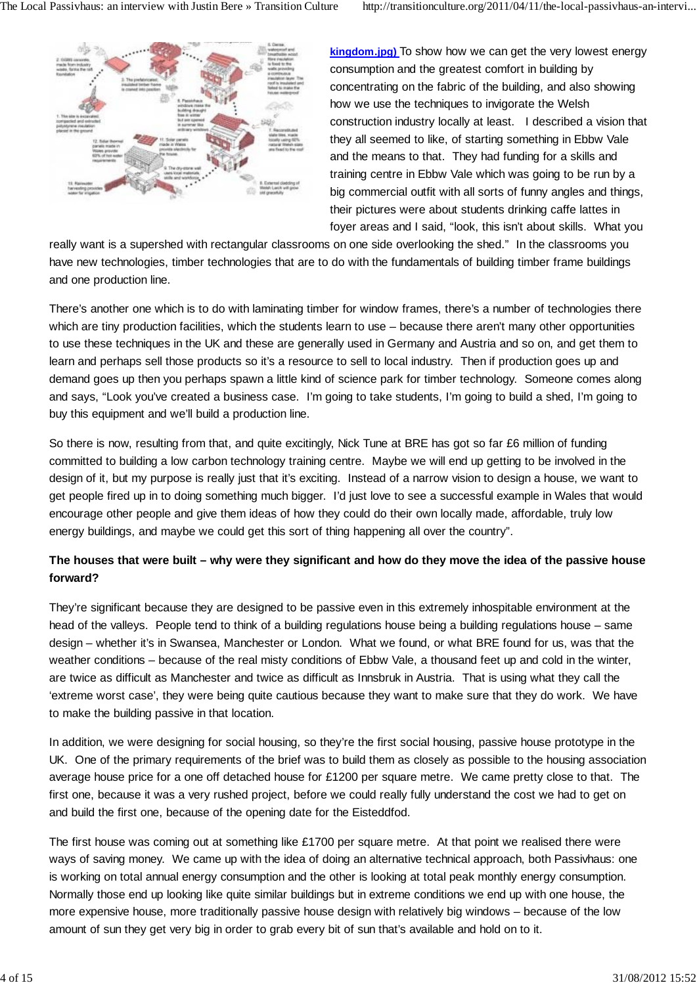

**kingdom.jpg)** To show how we can get the very lowest energy consumption and the greatest comfort in building by concentrating on the fabric of the building, and also showing how we use the techniques to invigorate the Welsh construction industry locally at least. I described a vision that they all seemed to like, of starting something in Ebbw Vale and the means to that. They had funding for a skills and training centre in Ebbw Vale which was going to be run by a big commercial outfit with all sorts of funny angles and things, their pictures were about students drinking caffe lattes in foyer areas and I said, "look, this isn't about skills. What you

really want is a supershed with rectangular classrooms on one side overlooking the shed." In the classrooms you have new technologies, timber technologies that are to do with the fundamentals of building timber frame buildings and one production line.

There's another one which is to do with laminating timber for window frames, there's a number of technologies there which are tiny production facilities, which the students learn to use – because there aren't many other opportunities to use these techniques in the UK and these are generally used in Germany and Austria and so on, and get them to learn and perhaps sell those products so it's a resource to sell to local industry. Then if production goes up and demand goes up then you perhaps spawn a little kind of science park for timber technology. Someone comes along and says, "Look you've created a business case. I'm going to take students, I'm going to build a shed, I'm going to buy this equipment and we'll build a production line.

So there is now, resulting from that, and quite excitingly, Nick Tune at BRE has got so far £6 million of funding committed to building a low carbon technology training centre. Maybe we will end up getting to be involved in the design of it, but my purpose is really just that it's exciting. Instead of a narrow vision to design a house, we want to get people fired up in to doing something much bigger. I'd just love to see a successful example in Wales that would encourage other people and give them ideas of how they could do their own locally made, affordable, truly low energy buildings, and maybe we could get this sort of thing happening all over the country".

## **The houses that were built – why were they significant and how do they move the idea of the passive house forward?**

They're significant because they are designed to be passive even in this extremely inhospitable environment at the head of the valleys. People tend to think of a building regulations house being a building regulations house – same design – whether it's in Swansea, Manchester or London. What we found, or what BRE found for us, was that the weather conditions – because of the real misty conditions of Ebbw Vale, a thousand feet up and cold in the winter, are twice as difficult as Manchester and twice as difficult as Innsbruk in Austria. That is using what they call the 'extreme worst case', they were being quite cautious because they want to make sure that they do work. We have to make the building passive in that location.

In addition, we were designing for social housing, so they're the first social housing, passive house prototype in the UK. One of the primary requirements of the brief was to build them as closely as possible to the housing association average house price for a one off detached house for £1200 per square metre. We came pretty close to that. The first one, because it was a very rushed project, before we could really fully understand the cost we had to get on and build the first one, because of the opening date for the Eisteddfod.

The first house was coming out at something like £1700 per square metre. At that point we realised there were ways of saving money. We came up with the idea of doing an alternative technical approach, both Passivhaus: one is working on total annual energy consumption and the other is looking at total peak monthly energy consumption. Normally those end up looking like quite similar buildings but in extreme conditions we end up with one house, the more expensive house, more traditionally passive house design with relatively big windows – because of the low amount of sun they get very big in order to grab every bit of sun that's available and hold on to it.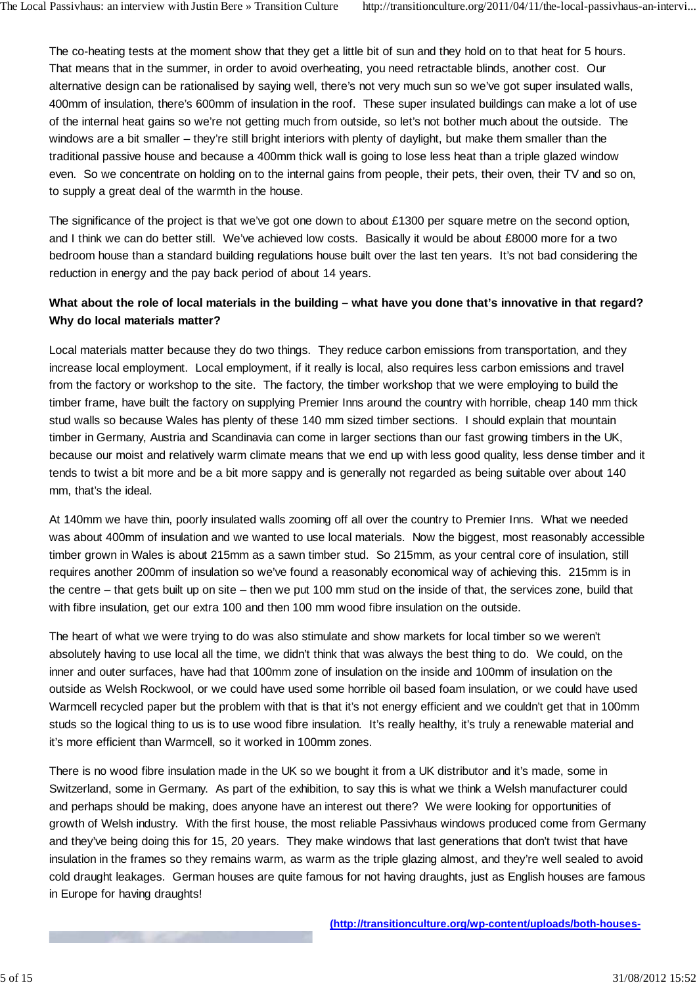The co-heating tests at the moment show that they get a little bit of sun and they hold on to that heat for 5 hours. That means that in the summer, in order to avoid overheating, you need retractable blinds, another cost. Our alternative design can be rationalised by saying well, there's not very much sun so we've got super insulated walls, 400mm of insulation, there's 600mm of insulation in the roof. These super insulated buildings can make a lot of use of the internal heat gains so we're not getting much from outside, so let's not bother much about the outside. The windows are a bit smaller – they're still bright interiors with plenty of daylight, but make them smaller than the traditional passive house and because a 400mm thick wall is going to lose less heat than a triple glazed window even. So we concentrate on holding on to the internal gains from people, their pets, their oven, their TV and so on, to supply a great deal of the warmth in the house.

The significance of the project is that we've got one down to about £1300 per square metre on the second option, and I think we can do better still. We've achieved low costs. Basically it would be about £8000 more for a two bedroom house than a standard building regulations house built over the last ten years. It's not bad considering the reduction in energy and the pay back period of about 14 years.

## **What about the role of local materials in the building – what have you done that's innovative in that regard? Why do local materials matter?**

Local materials matter because they do two things. They reduce carbon emissions from transportation, and they increase local employment. Local employment, if it really is local, also requires less carbon emissions and travel from the factory or workshop to the site. The factory, the timber workshop that we were employing to build the timber frame, have built the factory on supplying Premier Inns around the country with horrible, cheap 140 mm thick stud walls so because Wales has plenty of these 140 mm sized timber sections. I should explain that mountain timber in Germany, Austria and Scandinavia can come in larger sections than our fast growing timbers in the UK, because our moist and relatively warm climate means that we end up with less good quality, less dense timber and it tends to twist a bit more and be a bit more sappy and is generally not regarded as being suitable over about 140 mm, that's the ideal.

At 140mm we have thin, poorly insulated walls zooming off all over the country to Premier Inns. What we needed was about 400mm of insulation and we wanted to use local materials. Now the biggest, most reasonably accessible timber grown in Wales is about 215mm as a sawn timber stud. So 215mm, as your central core of insulation, still requires another 200mm of insulation so we've found a reasonably economical way of achieving this. 215mm is in the centre – that gets built up on site – then we put 100 mm stud on the inside of that, the services zone, build that with fibre insulation, get our extra 100 and then 100 mm wood fibre insulation on the outside.

The heart of what we were trying to do was also stimulate and show markets for local timber so we weren't absolutely having to use local all the time, we didn't think that was always the best thing to do. We could, on the inner and outer surfaces, have had that 100mm zone of insulation on the inside and 100mm of insulation on the outside as Welsh Rockwool, or we could have used some horrible oil based foam insulation, or we could have used Warmcell recycled paper but the problem with that is that it's not energy efficient and we couldn't get that in 100mm studs so the logical thing to us is to use wood fibre insulation. It's really healthy, it's truly a renewable material and it's more efficient than Warmcell, so it worked in 100mm zones.

There is no wood fibre insulation made in the UK so we bought it from a UK distributor and it's made, some in Switzerland, some in Germany. As part of the exhibition, to say this is what we think a Welsh manufacturer could and perhaps should be making, does anyone have an interest out there? We were looking for opportunities of growth of Welsh industry. With the first house, the most reliable Passivhaus windows produced come from Germany and they've being doing this for 15, 20 years. They make windows that last generations that don't twist that have insulation in the frames so they remains warm, as warm as the triple glazing almost, and they're well sealed to avoid cold draught leakages. German houses are quite famous for not having draughts, just as English houses are famous in Europe for having draughts!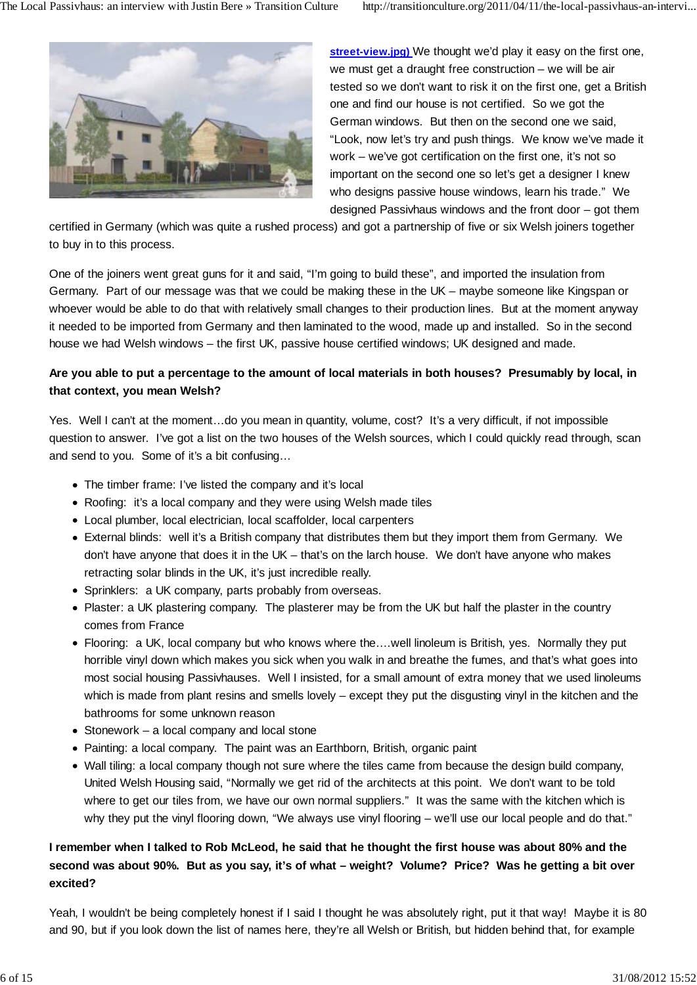

**street-view.jpg)** We thought we'd play it easy on the first one, we must get a draught free construction – we will be air tested so we don't want to risk it on the first one, get a British one and find our house is not certified. So we got the German windows. But then on the second one we said, "Look, now let's try and push things. We know we've made it work – we've got certification on the first one, it's not so important on the second one so let's get a designer I knew who designs passive house windows, learn his trade." We designed Passivhaus windows and the front door – got them

certified in Germany (which was quite a rushed process) and got a partnership of five or six Welsh joiners together to buy in to this process.

One of the joiners went great guns for it and said, "I'm going to build these", and imported the insulation from Germany. Part of our message was that we could be making these in the UK – maybe someone like Kingspan or whoever would be able to do that with relatively small changes to their production lines. But at the moment anyway it needed to be imported from Germany and then laminated to the wood, made up and installed. So in the second house we had Welsh windows – the first UK, passive house certified windows; UK designed and made.

## **Are you able to put a percentage to the amount of local materials in both houses? Presumably by local, in that context, you mean Welsh?**

Yes. Well I can't at the moment…do you mean in quantity, volume, cost? It's a very difficult, if not impossible question to answer. I've got a list on the two houses of the Welsh sources, which I could quickly read through, scan and send to you. Some of it's a bit confusing…

- The timber frame: I've listed the company and it's local
- Roofing: it's a local company and they were using Welsh made tiles
- Local plumber, local electrician, local scaffolder, local carpenters
- External blinds: well it's a British company that distributes them but they import them from Germany. We don't have anyone that does it in the UK – that's on the larch house. We don't have anyone who makes retracting solar blinds in the UK, it's just incredible really.
- Sprinklers: a UK company, parts probably from overseas.
- Plaster: a UK plastering company. The plasterer may be from the UK but half the plaster in the country comes from France
- Flooring: a UK, local company but who knows where the….well linoleum is British, yes. Normally they put horrible vinyl down which makes you sick when you walk in and breathe the fumes, and that's what goes into most social housing Passivhauses. Well I insisted, for a small amount of extra money that we used linoleums which is made from plant resins and smells lovely – except they put the disgusting vinyl in the kitchen and the bathrooms for some unknown reason
- $\bullet$  Stonework a local company and local stone
- Painting: a local company. The paint was an Earthborn, British, organic paint
- Wall tiling: a local company though not sure where the tiles came from because the design build company, United Welsh Housing said, "Normally we get rid of the architects at this point. We don't want to be told where to get our tiles from, we have our own normal suppliers." It was the same with the kitchen which is why they put the vinyl flooring down, "We always use vinyl flooring – we'll use our local people and do that."

## **I remember when I talked to Rob McLeod, he said that he thought the first house was about 80% and the second was about 90%. But as you say, it's of what – weight? Volume? Price? Was he getting a bit over excited?**

Yeah, I wouldn't be being completely honest if I said I thought he was absolutely right, put it that way! Maybe it is 80 and 90, but if you look down the list of names here, they're all Welsh or British, but hidden behind that, for example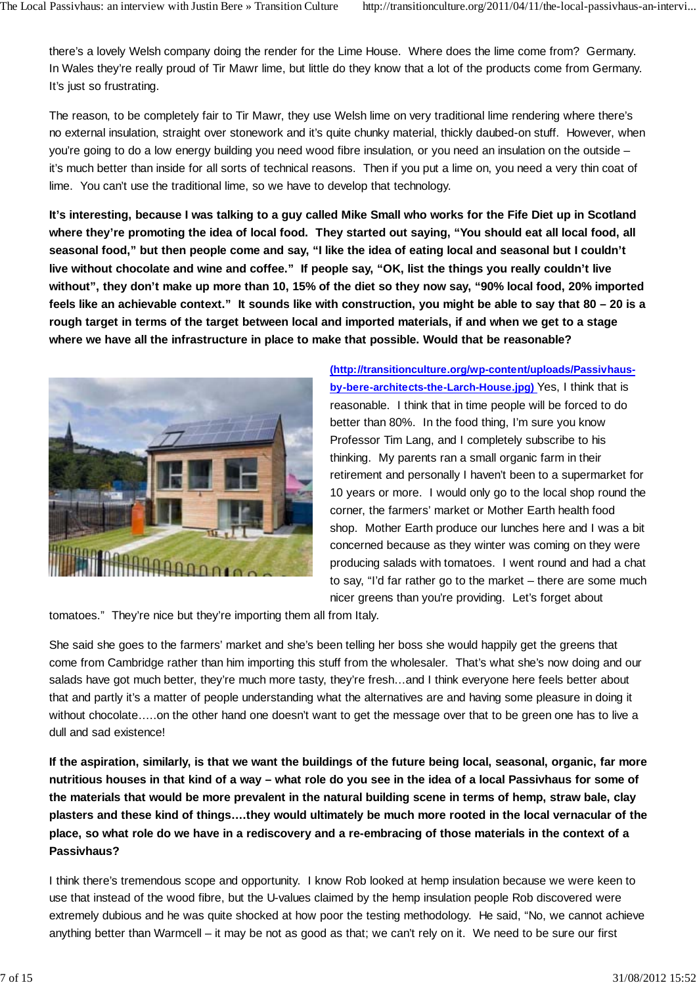there's a lovely Welsh company doing the render for the Lime House. Where does the lime come from? Germany. In Wales they're really proud of Tir Mawr lime, but little do they know that a lot of the products come from Germany. It's just so frustrating.

The reason, to be completely fair to Tir Mawr, they use Welsh lime on very traditional lime rendering where there's no external insulation, straight over stonework and it's quite chunky material, thickly daubed-on stuff. However, when you're going to do a low energy building you need wood fibre insulation, or you need an insulation on the outside – it's much better than inside for all sorts of technical reasons. Then if you put a lime on, you need a very thin coat of lime. You can't use the traditional lime, so we have to develop that technology.

**It's interesting, because I was talking to a guy called Mike Small who works for the Fife Diet up in Scotland where they're promoting the idea of local food. They started out saying, "You should eat all local food, all seasonal food," but then people come and say, "I like the idea of eating local and seasonal but I couldn't live without chocolate and wine and coffee." If people say, "OK, list the things you really couldn't live without", they don't make up more than 10, 15% of the diet so they now say, "90% local food, 20% imported feels like an achievable context." It sounds like with construction, you might be able to say that 80 – 20 is a rough target in terms of the target between local and imported materials, if and when we get to a stage where we have all the infrastructure in place to make that possible. Would that be reasonable?**



**(http://transitionculture.org/wp-content/uploads/Passivhausby-bere-architects-the-Larch-House.jpg)** Yes, I think that is reasonable. I think that in time people will be forced to do better than 80%. In the food thing, I'm sure you know Professor Tim Lang, and I completely subscribe to his thinking. My parents ran a small organic farm in their retirement and personally I haven't been to a supermarket for 10 years or more. I would only go to the local shop round the corner, the farmers' market or Mother Earth health food shop. Mother Earth produce our lunches here and I was a bit concerned because as they winter was coming on they were producing salads with tomatoes. I went round and had a chat to say, "I'd far rather go to the market – there are some much nicer greens than you're providing. Let's forget about

tomatoes." They're nice but they're importing them all from Italy.

She said she goes to the farmers' market and she's been telling her boss she would happily get the greens that come from Cambridge rather than him importing this stuff from the wholesaler. That's what she's now doing and our salads have got much better, they're much more tasty, they're fresh...and I think everyone here feels better about that and partly it's a matter of people understanding what the alternatives are and having some pleasure in doing it without chocolate…..on the other hand one doesn't want to get the message over that to be green one has to live a dull and sad existence!

**If the aspiration, similarly, is that we want the buildings of the future being local, seasonal, organic, far more nutritious houses in that kind of a way – what role do you see in the idea of a local Passivhaus for some of the materials that would be more prevalent in the natural building scene in terms of hemp, straw bale, clay plasters and these kind of things….they would ultimately be much more rooted in the local vernacular of the place, so what role do we have in a rediscovery and a re-embracing of those materials in the context of a Passivhaus?**

I think there's tremendous scope and opportunity. I know Rob looked at hemp insulation because we were keen to use that instead of the wood fibre, but the U-values claimed by the hemp insulation people Rob discovered were extremely dubious and he was quite shocked at how poor the testing methodology. He said, "No, we cannot achieve anything better than Warmcell – it may be not as good as that; we can't rely on it. We need to be sure our first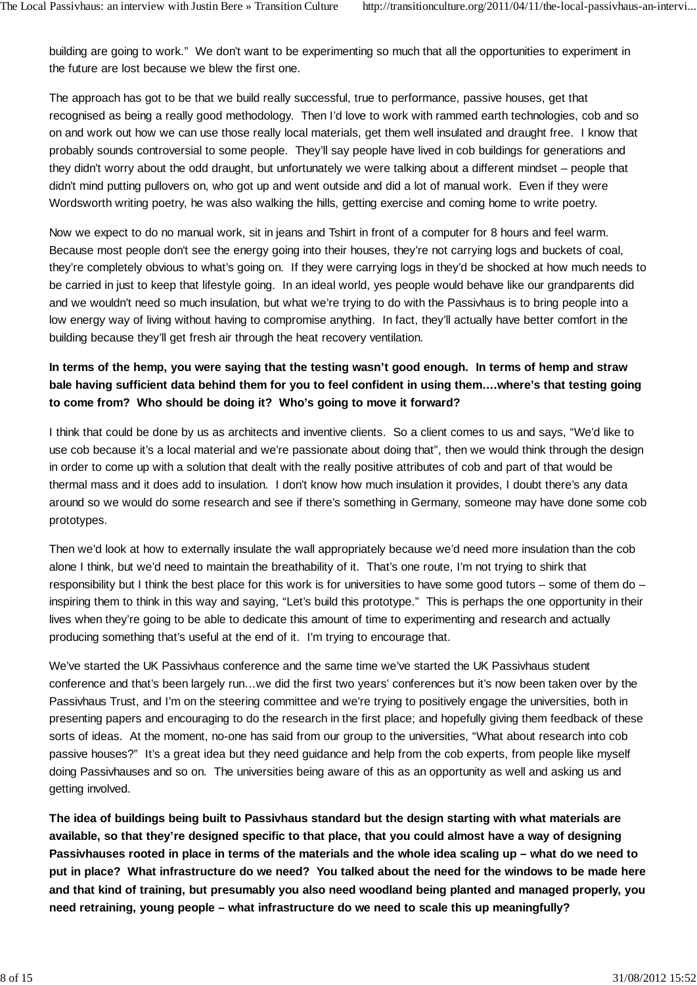building are going to work." We don't want to be experimenting so much that all the opportunities to experiment in the future are lost because we blew the first one.

The approach has got to be that we build really successful, true to performance, passive houses, get that recognised as being a really good methodology. Then I'd love to work with rammed earth technologies, cob and so on and work out how we can use those really local materials, get them well insulated and draught free. I know that probably sounds controversial to some people. They'll say people have lived in cob buildings for generations and they didn't worry about the odd draught, but unfortunately we were talking about a different mindset – people that didn't mind putting pullovers on, who got up and went outside and did a lot of manual work. Even if they were Wordsworth writing poetry, he was also walking the hills, getting exercise and coming home to write poetry.

Now we expect to do no manual work, sit in jeans and Tshirt in front of a computer for 8 hours and feel warm. Because most people don't see the energy going into their houses, they're not carrying logs and buckets of coal, they're completely obvious to what's going on. If they were carrying logs in they'd be shocked at how much needs to be carried in just to keep that lifestyle going. In an ideal world, yes people would behave like our grandparents did and we wouldn't need so much insulation, but what we're trying to do with the Passivhaus is to bring people into a low energy way of living without having to compromise anything. In fact, they'll actually have better comfort in the building because they'll get fresh air through the heat recovery ventilation.

## **In terms of the hemp, you were saying that the testing wasn't good enough. In terms of hemp and straw bale having sufficient data behind them for you to feel confident in using them….where's that testing going to come from? Who should be doing it? Who's going to move it forward?**

I think that could be done by us as architects and inventive clients. So a client comes to us and says, "We'd like to use cob because it's a local material and we're passionate about doing that", then we would think through the design in order to come up with a solution that dealt with the really positive attributes of cob and part of that would be thermal mass and it does add to insulation. I don't know how much insulation it provides, I doubt there's any data around so we would do some research and see if there's something in Germany, someone may have done some cob prototypes.

Then we'd look at how to externally insulate the wall appropriately because we'd need more insulation than the cob alone I think, but we'd need to maintain the breathability of it. That's one route, I'm not trying to shirk that responsibility but I think the best place for this work is for universities to have some good tutors – some of them do – inspiring them to think in this way and saying, "Let's build this prototype." This is perhaps the one opportunity in their lives when they're going to be able to dedicate this amount of time to experimenting and research and actually producing something that's useful at the end of it. I'm trying to encourage that.

We've started the UK Passivhaus conference and the same time we've started the UK Passivhaus student conference and that's been largely run…we did the first two years' conferences but it's now been taken over by the Passivhaus Trust, and I'm on the steering committee and we're trying to positively engage the universities, both in presenting papers and encouraging to do the research in the first place; and hopefully giving them feedback of these sorts of ideas. At the moment, no-one has said from our group to the universities, "What about research into cob passive houses?" It's a great idea but they need guidance and help from the cob experts, from people like myself doing Passivhauses and so on. The universities being aware of this as an opportunity as well and asking us and getting involved.

**The idea of buildings being built to Passivhaus standard but the design starting with what materials are available, so that they're designed specific to that place, that you could almost have a way of designing Passivhauses rooted in place in terms of the materials and the whole idea scaling up – what do we need to put in place? What infrastructure do we need? You talked about the need for the windows to be made here and that kind of training, but presumably you also need woodland being planted and managed properly, you need retraining, young people – what infrastructure do we need to scale this up meaningfully?**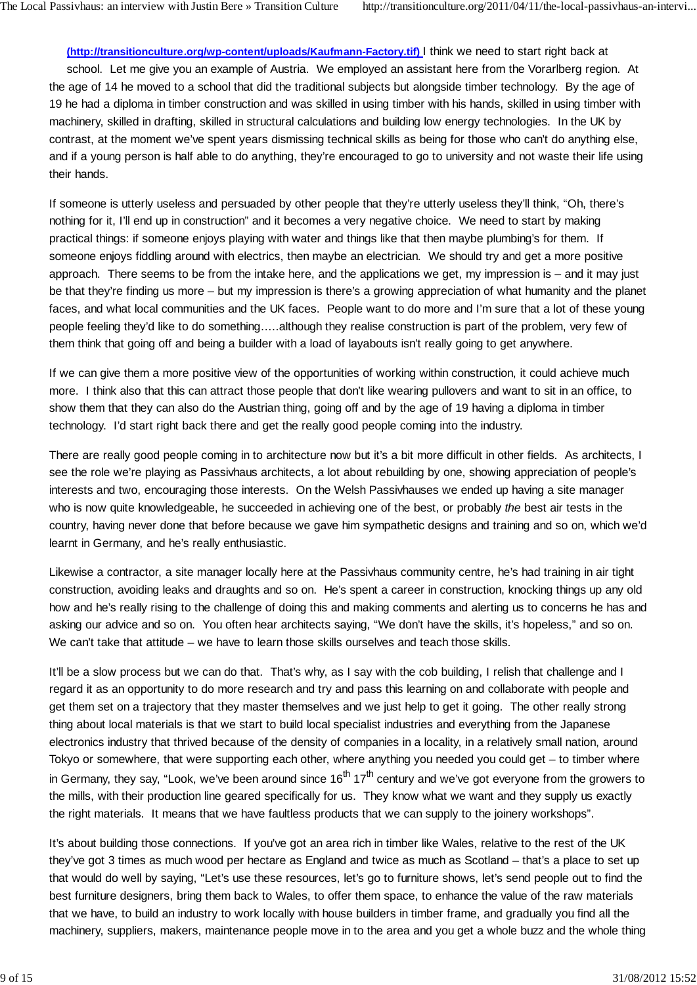**(http://transitionculture.org/wp-content/uploads/Kaufmann-Factory.tif)** I think we need to start right back at school. Let me give you an example of Austria. We employed an assistant here from the Vorarlberg region. At the age of 14 he moved to a school that did the traditional subjects but alongside timber technology. By the age of 19 he had a diploma in timber construction and was skilled in using timber with his hands, skilled in using timber with machinery, skilled in drafting, skilled in structural calculations and building low energy technologies. In the UK by contrast, at the moment we've spent years dismissing technical skills as being for those who can't do anything else, and if a young person is half able to do anything, they're encouraged to go to university and not waste their life using their hands.

If someone is utterly useless and persuaded by other people that they're utterly useless they'll think, "Oh, there's nothing for it, I'll end up in construction" and it becomes a very negative choice. We need to start by making practical things: if someone enjoys playing with water and things like that then maybe plumbing's for them. If someone enjoys fiddling around with electrics, then maybe an electrician. We should try and get a more positive approach. There seems to be from the intake here, and the applications we get, my impression is – and it may just be that they're finding us more – but my impression is there's a growing appreciation of what humanity and the planet faces, and what local communities and the UK faces. People want to do more and I'm sure that a lot of these young people feeling they'd like to do something…..although they realise construction is part of the problem, very few of them think that going off and being a builder with a load of layabouts isn't really going to get anywhere.

If we can give them a more positive view of the opportunities of working within construction, it could achieve much more. I think also that this can attract those people that don't like wearing pullovers and want to sit in an office, to show them that they can also do the Austrian thing, going off and by the age of 19 having a diploma in timber technology. I'd start right back there and get the really good people coming into the industry.

There are really good people coming in to architecture now but it's a bit more difficult in other fields. As architects, I see the role we're playing as Passivhaus architects, a lot about rebuilding by one, showing appreciation of people's interests and two, encouraging those interests. On the Welsh Passivhauses we ended up having a site manager who is now quite knowledgeable, he succeeded in achieving one of the best, or probably *the* best air tests in the country, having never done that before because we gave him sympathetic designs and training and so on, which we'd learnt in Germany, and he's really enthusiastic.

Likewise a contractor, a site manager locally here at the Passivhaus community centre, he's had training in air tight construction, avoiding leaks and draughts and so on. He's spent a career in construction, knocking things up any old how and he's really rising to the challenge of doing this and making comments and alerting us to concerns he has and asking our advice and so on. You often hear architects saying, "We don't have the skills, it's hopeless," and so on. We can't take that attitude – we have to learn those skills ourselves and teach those skills.

It'll be a slow process but we can do that. That's why, as I say with the cob building, I relish that challenge and I regard it as an opportunity to do more research and try and pass this learning on and collaborate with people and get them set on a trajectory that they master themselves and we just help to get it going. The other really strong thing about local materials is that we start to build local specialist industries and everything from the Japanese electronics industry that thrived because of the density of companies in a locality, in a relatively small nation, around Tokyo or somewhere, that were supporting each other, where anything you needed you could get – to timber where in Germany, they say, "Look, we've been around since  $16<sup>th</sup> 17<sup>th</sup>$  century and we've got everyone from the growers to the mills, with their production line geared specifically for us. They know what we want and they supply us exactly the right materials. It means that we have faultless products that we can supply to the joinery workshops".

It's about building those connections. If you've got an area rich in timber like Wales, relative to the rest of the UK they've got 3 times as much wood per hectare as England and twice as much as Scotland – that's a place to set up that would do well by saying, "Let's use these resources, let's go to furniture shows, let's send people out to find the best furniture designers, bring them back to Wales, to offer them space, to enhance the value of the raw materials that we have, to build an industry to work locally with house builders in timber frame, and gradually you find all the machinery, suppliers, makers, maintenance people move in to the area and you get a whole buzz and the whole thing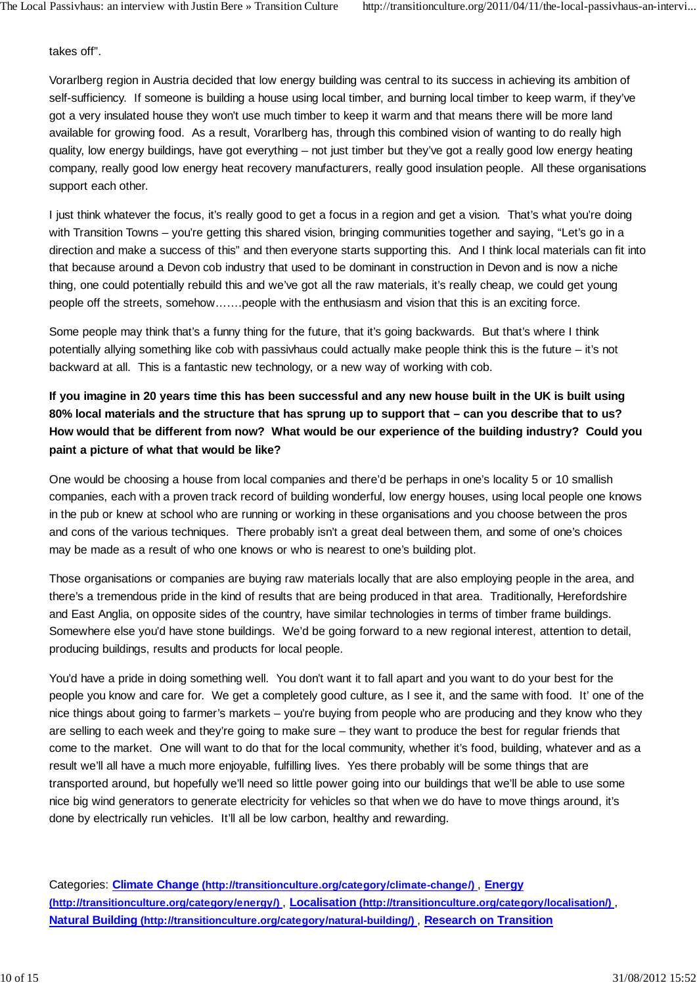takes off".

Vorarlberg region in Austria decided that low energy building was central to its success in achieving its ambition of self-sufficiency. If someone is building a house using local timber, and burning local timber to keep warm, if they've got a very insulated house they won't use much timber to keep it warm and that means there will be more land available for growing food. As a result, Vorarlberg has, through this combined vision of wanting to do really high quality, low energy buildings, have got everything – not just timber but they've got a really good low energy heating company, really good low energy heat recovery manufacturers, really good insulation people. All these organisations support each other.

I just think whatever the focus, it's really good to get a focus in a region and get a vision. That's what you're doing with Transition Towns – you're getting this shared vision, bringing communities together and saying, "Let's go in a direction and make a success of this" and then everyone starts supporting this. And I think local materials can fit into that because around a Devon cob industry that used to be dominant in construction in Devon and is now a niche thing, one could potentially rebuild this and we've got all the raw materials, it's really cheap, we could get young people off the streets, somehow…….people with the enthusiasm and vision that this is an exciting force.

Some people may think that's a funny thing for the future, that it's going backwards. But that's where I think potentially allying something like cob with passivhaus could actually make people think this is the future – it's not backward at all. This is a fantastic new technology, or a new way of working with cob.

**If you imagine in 20 years time this has been successful and any new house built in the UK is built using 80% local materials and the structure that has sprung up to support that – can you describe that to us? How would that be different from now? What would be our experience of the building industry? Could you paint a picture of what that would be like?**

One would be choosing a house from local companies and there'd be perhaps in one's locality 5 or 10 smallish companies, each with a proven track record of building wonderful, low energy houses, using local people one knows in the pub or knew at school who are running or working in these organisations and you choose between the pros and cons of the various techniques. There probably isn't a great deal between them, and some of one's choices may be made as a result of who one knows or who is nearest to one's building plot.

Those organisations or companies are buying raw materials locally that are also employing people in the area, and there's a tremendous pride in the kind of results that are being produced in that area. Traditionally, Herefordshire and East Anglia, on opposite sides of the country, have similar technologies in terms of timber frame buildings. Somewhere else you'd have stone buildings. We'd be going forward to a new regional interest, attention to detail, producing buildings, results and products for local people.

You'd have a pride in doing something well. You don't want it to fall apart and you want to do your best for the people you know and care for. We get a completely good culture, as I see it, and the same with food. It' one of the nice things about going to farmer's markets – you're buying from people who are producing and they know who they are selling to each week and they're going to make sure – they want to produce the best for regular friends that come to the market. One will want to do that for the local community, whether it's food, building, whatever and as a result we'll all have a much more enjoyable, fulfilling lives. Yes there probably will be some things that are transported around, but hopefully we'll need so little power going into our buildings that we'll be able to use some nice big wind generators to generate electricity for vehicles so that when we do have to move things around, it's done by electrically run vehicles. It'll all be low carbon, healthy and rewarding.

Categories: **Climate Change (http://transitionculture.org/category/climate-change/)** , **Energy (http://transitionculture.org/category/energy/)** , **Localisation (http://transitionculture.org/category/localisation/)** , **Natural Building (http://transitionculture.org/category/natural-building/)** , **Research on Transition**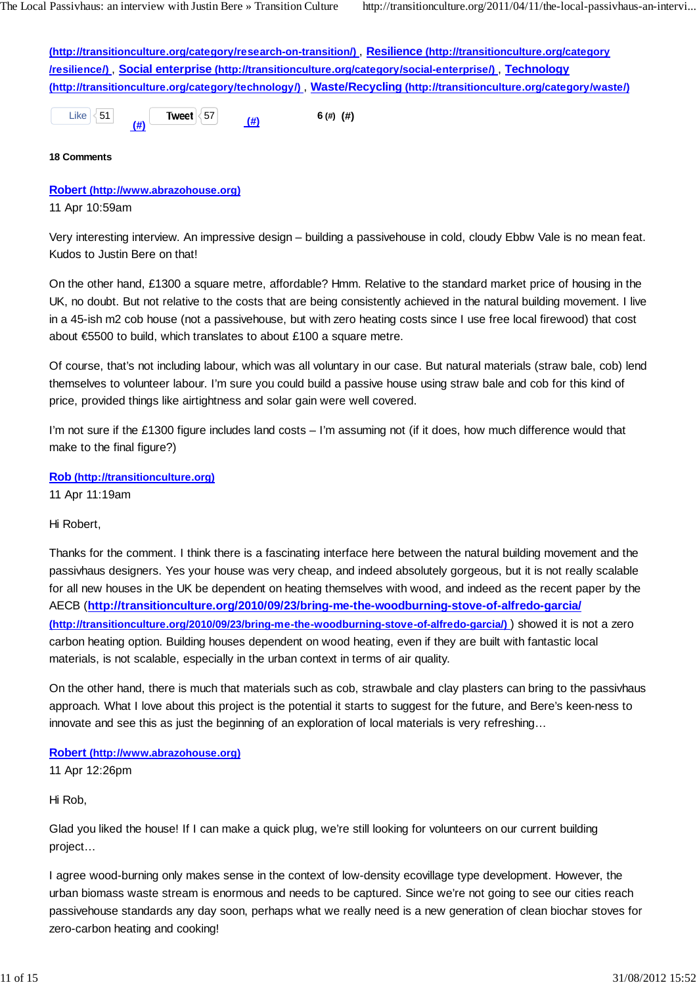**(http://transitionculture.org/category/research-on-transition/)** , **Resilience (http://transitionculture.org/category /resilience/)** , **Social enterprise (http://transitionculture.org/category/social-enterprise/)** , **Technology (http://transitionculture.org/category/technology/)** , **Waste/Recycling (http://transitionculture.org/category/waste/)**

Like  $\leq 51$  **(#) Tweet** <sup>57</sup> **(#) 6 (#) (#)**

**18 Comments**

#### **Robert (http://www.abrazohouse.org)**

11 Apr 10:59am

Very interesting interview. An impressive design – building a passivehouse in cold, cloudy Ebbw Vale is no mean feat. Kudos to Justin Bere on that!

On the other hand, £1300 a square metre, affordable? Hmm. Relative to the standard market price of housing in the UK, no doubt. But not relative to the costs that are being consistently achieved in the natural building movement. I live in a 45-ish m2 cob house (not a passivehouse, but with zero heating costs since I use free local firewood) that cost about €5500 to build, which translates to about £100 a square metre.

Of course, that's not including labour, which was all voluntary in our case. But natural materials (straw bale, cob) lend themselves to volunteer labour. I'm sure you could build a passive house using straw bale and cob for this kind of price, provided things like airtightness and solar gain were well covered.

I'm not sure if the £1300 figure includes land costs – I'm assuming not (if it does, how much difference would that make to the final figure?)

**Rob (http://transitionculture.org)**

11 Apr 11:19am

Hi Robert,

Thanks for the comment. I think there is a fascinating interface here between the natural building movement and the passivhaus designers. Yes your house was very cheap, and indeed absolutely gorgeous, but it is not really scalable for all new houses in the UK be dependent on heating themselves with wood, and indeed as the recent paper by the AECB (**http://transitionculture.org/2010/09/23/bring-me-the-woodburning-stove-of-alfredo-garcia/ (http://transitionculture.org/2010/09/23/bring-me-the-woodburning-stove-of-alfredo-garcia/)** ) showed it is not a zero carbon heating option. Building houses dependent on wood heating, even if they are built with fantastic local materials, is not scalable, especially in the urban context in terms of air quality.

On the other hand, there is much that materials such as cob, strawbale and clay plasters can bring to the passivhaus approach. What I love about this project is the potential it starts to suggest for the future, and Bere's keen-ness to innovate and see this as just the beginning of an exploration of local materials is very refreshing…

**Robert (http://www.abrazohouse.org)**

11 Apr 12:26pm

Hi Rob,

Glad you liked the house! If I can make a quick plug, we're still looking for volunteers on our current building project…

I agree wood-burning only makes sense in the context of low-density ecovillage type development. However, the urban biomass waste stream is enormous and needs to be captured. Since we're not going to see our cities reach passivehouse standards any day soon, perhaps what we really need is a new generation of clean biochar stoves for zero-carbon heating and cooking!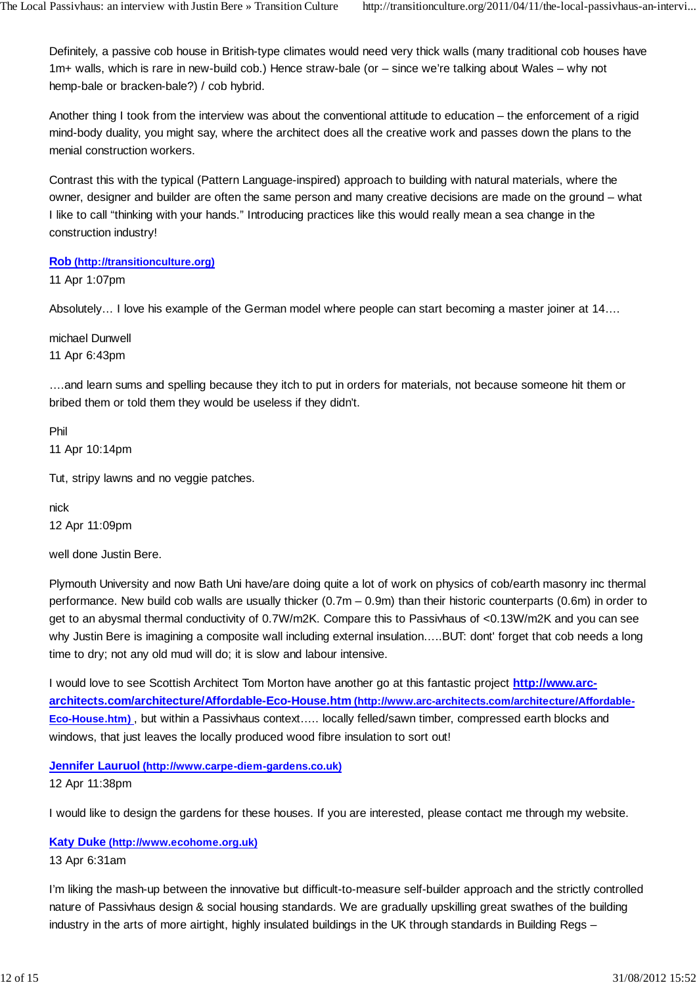Definitely, a passive cob house in British-type climates would need very thick walls (many traditional cob houses have 1m+ walls, which is rare in new-build cob.) Hence straw-bale (or – since we're talking about Wales – why not hemp-bale or bracken-bale?) / cob hybrid.

Another thing I took from the interview was about the conventional attitude to education – the enforcement of a rigid mind-body duality, you might say, where the architect does all the creative work and passes down the plans to the menial construction workers.

Contrast this with the typical (Pattern Language-inspired) approach to building with natural materials, where the owner, designer and builder are often the same person and many creative decisions are made on the ground – what I like to call "thinking with your hands." Introducing practices like this would really mean a sea change in the construction industry!

**Rob (http://transitionculture.org)**

11 Apr 1:07pm

Absolutely… I love his example of the German model where people can start becoming a master joiner at 14….

michael Dunwell 11 Apr 6:43pm

….and learn sums and spelling because they itch to put in orders for materials, not because someone hit them or bribed them or told them they would be useless if they didn't.

Phil 11 Apr 10:14pm

Tut, stripy lawns and no veggie patches.

nick 12 Apr 11:09pm

well done Justin Bere.

Plymouth University and now Bath Uni have/are doing quite a lot of work on physics of cob/earth masonry inc thermal performance. New build cob walls are usually thicker (0.7m – 0.9m) than their historic counterparts (0.6m) in order to get to an abysmal thermal conductivity of 0.7W/m2K. Compare this to Passivhaus of <0.13W/m2K and you can see why Justin Bere is imagining a composite wall including external insulation…..BUT: dont' forget that cob needs a long time to dry; not any old mud will do; it is slow and labour intensive.

I would love to see Scottish Architect Tom Morton have another go at this fantastic project **http://www.arcarchitects.com/architecture/Affordable-Eco-House.htm (http://www.arc-architects.com/architecture/Affordable-Eco-House.htm)** , but within a Passivhaus context….. locally felled/sawn timber, compressed earth blocks and windows, that just leaves the locally produced wood fibre insulation to sort out!

**Jennifer Lauruol (http://www.carpe-diem-gardens.co.uk)** 12 Apr 11:38pm

I would like to design the gardens for these houses. If you are interested, please contact me through my website.

#### **Katy Duke (http://www.ecohome.org.uk)**

#### 13 Apr 6:31am

I'm liking the mash-up between the innovative but difficult-to-measure self-builder approach and the strictly controlled nature of Passivhaus design & social housing standards. We are gradually upskilling great swathes of the building industry in the arts of more airtight, highly insulated buildings in the UK through standards in Building Regs –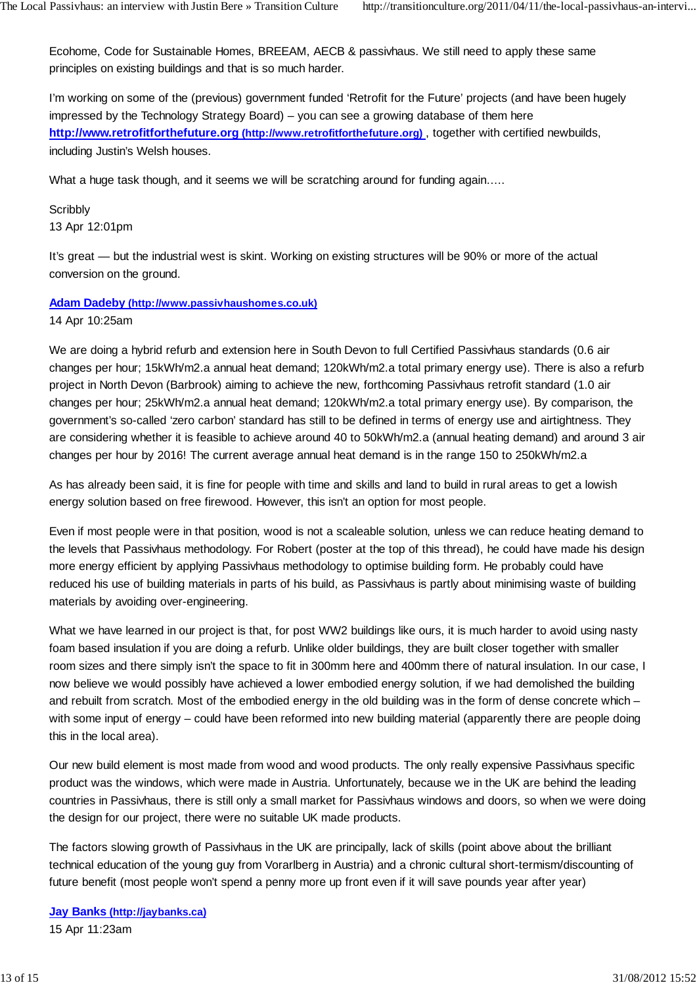Ecohome, Code for Sustainable Homes, BREEAM, AECB & passivhaus. We still need to apply these same principles on existing buildings and that is so much harder.

I'm working on some of the (previous) government funded 'Retrofit for the Future' projects (and have been hugely impressed by the Technology Strategy Board) – you can see a growing database of them here **http://www.retrofitforthefuture.org (http://www.retrofitforthefuture.org)** , together with certified newbuilds, including Justin's Welsh houses.

What a huge task though, and it seems we will be scratching around for funding again.....

**Scribbly** 13 Apr 12:01pm

It's great — but the industrial west is skint. Working on existing structures will be 90% or more of the actual conversion on the ground.

#### **Adam Dadeby (http://www.passivhaushomes.co.uk)**

14 Apr 10:25am

We are doing a hybrid refurb and extension here in South Devon to full Certified Passivhaus standards (0.6 air changes per hour; 15kWh/m2.a annual heat demand; 120kWh/m2.a total primary energy use). There is also a refurb project in North Devon (Barbrook) aiming to achieve the new, forthcoming Passivhaus retrofit standard (1.0 air changes per hour; 25kWh/m2.a annual heat demand; 120kWh/m2.a total primary energy use). By comparison, the government's so-called 'zero carbon' standard has still to be defined in terms of energy use and airtightness. They are considering whether it is feasible to achieve around 40 to 50kWh/m2.a (annual heating demand) and around 3 air changes per hour by 2016! The current average annual heat demand is in the range 150 to 250kWh/m2.a

As has already been said, it is fine for people with time and skills and land to build in rural areas to get a lowish energy solution based on free firewood. However, this isn't an option for most people.

Even if most people were in that position, wood is not a scaleable solution, unless we can reduce heating demand to the levels that Passivhaus methodology. For Robert (poster at the top of this thread), he could have made his design more energy efficient by applying Passivhaus methodology to optimise building form. He probably could have reduced his use of building materials in parts of his build, as Passivhaus is partly about minimising waste of building materials by avoiding over-engineering.

What we have learned in our project is that, for post WW2 buildings like ours, it is much harder to avoid using nasty foam based insulation if you are doing a refurb. Unlike older buildings, they are built closer together with smaller room sizes and there simply isn't the space to fit in 300mm here and 400mm there of natural insulation. In our case, I now believe we would possibly have achieved a lower embodied energy solution, if we had demolished the building and rebuilt from scratch. Most of the embodied energy in the old building was in the form of dense concrete which – with some input of energy – could have been reformed into new building material (apparently there are people doing this in the local area).

Our new build element is most made from wood and wood products. The only really expensive Passivhaus specific product was the windows, which were made in Austria. Unfortunately, because we in the UK are behind the leading countries in Passivhaus, there is still only a small market for Passivhaus windows and doors, so when we were doing the design for our project, there were no suitable UK made products.

The factors slowing growth of Passivhaus in the UK are principally, lack of skills (point above about the brilliant technical education of the young guy from Vorarlberg in Austria) and a chronic cultural short-termism/discounting of future benefit (most people won't spend a penny more up front even if it will save pounds year after year)

**Jay Banks (http://jaybanks.ca)** 15 Apr 11:23am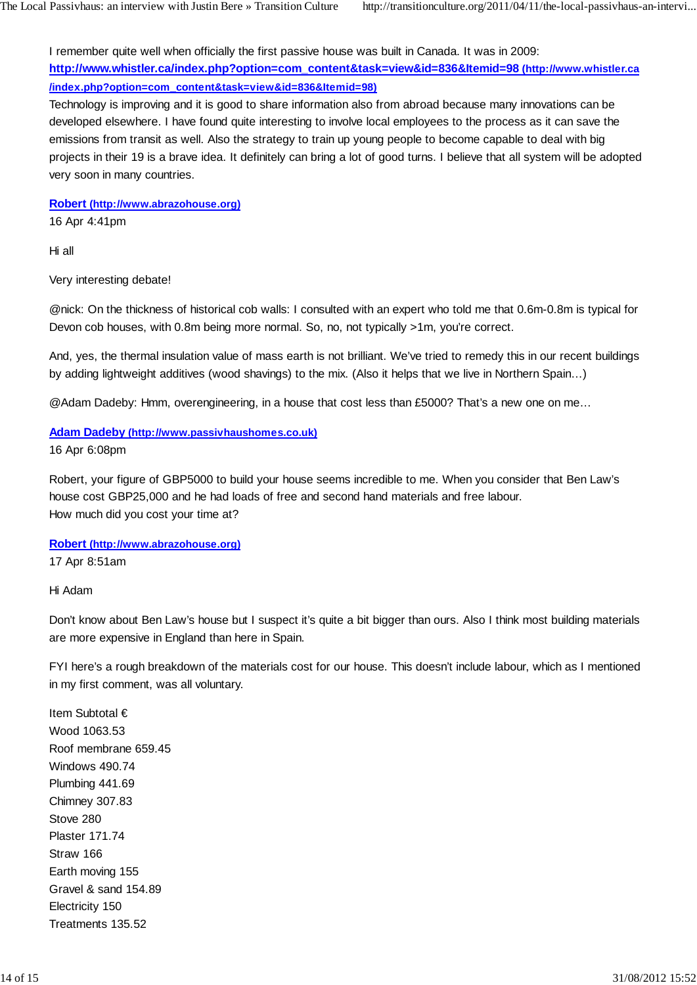I remember quite well when officially the first passive house was built in Canada. It was in 2009: **http://www.whistler.ca/index.php?option=com\_content&task=view&id=836&Itemid=98 (http://www.whistler.ca /index.php?option=com\_content&task=view&id=836&Itemid=98)**

Technology is improving and it is good to share information also from abroad because many innovations can be developed elsewhere. I have found quite interesting to involve local employees to the process as it can save the emissions from transit as well. Also the strategy to train up young people to become capable to deal with big projects in their 19 is a brave idea. It definitely can bring a lot of good turns. I believe that all system will be adopted very soon in many countries.

**Robert (http://www.abrazohouse.org)**

16 Apr 4:41pm

Hi all

Very interesting debate!

@nick: On the thickness of historical cob walls: I consulted with an expert who told me that 0.6m-0.8m is typical for Devon cob houses, with 0.8m being more normal. So, no, not typically >1m, you're correct.

And, yes, the thermal insulation value of mass earth is not brilliant. We've tried to remedy this in our recent buildings by adding lightweight additives (wood shavings) to the mix. (Also it helps that we live in Northern Spain…)

@Adam Dadeby: Hmm, overengineering, in a house that cost less than £5000? That's a new one on me…

#### **Adam Dadeby (http://www.passivhaushomes.co.uk)**

16 Apr 6:08pm

Robert, your figure of GBP5000 to build your house seems incredible to me. When you consider that Ben Law's house cost GBP25,000 and he had loads of free and second hand materials and free labour. How much did you cost your time at?

#### **Robert (http://www.abrazohouse.org)**

17 Apr 8:51am

Hi Adam

Don't know about Ben Law's house but I suspect it's quite a bit bigger than ours. Also I think most building materials are more expensive in England than here in Spain.

FYI here's a rough breakdown of the materials cost for our house. This doesn't include labour, which as I mentioned in my first comment, was all voluntary.

Item Subtotal € Wood 1063.53 Roof membrane 659.45 Windows 490.74 Plumbing 441.69 Chimney 307.83 Stove 280 Plaster 171.74 Straw 166 Earth moving 155 Gravel & sand 154.89 Electricity 150 Treatments 135.52